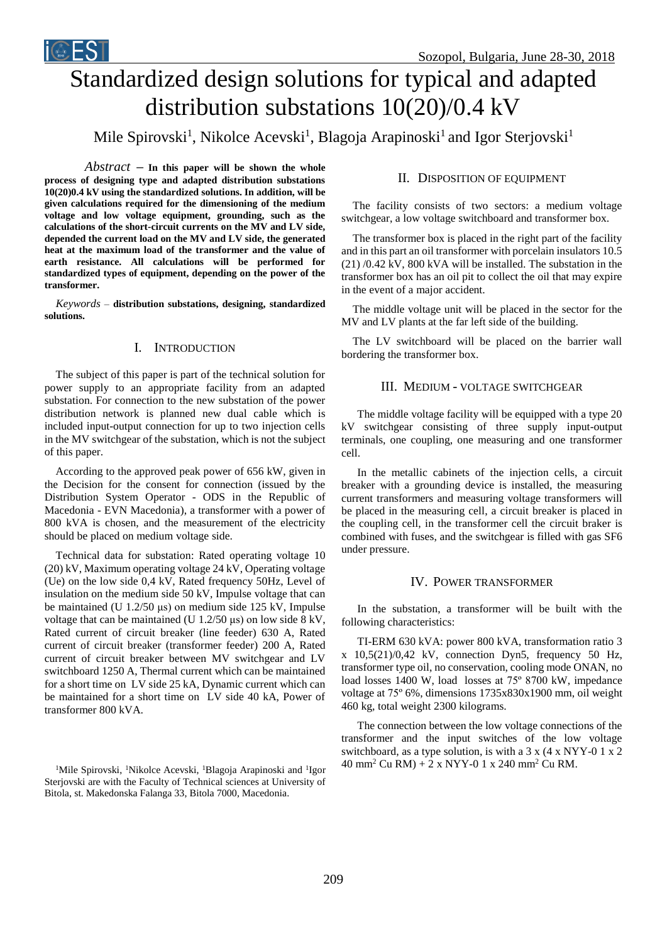# Standardized design solutions for typical and adapted distribution substations 10(20)/0.4 kV

Mile Spirovski<sup>1</sup>, Nikolce Acevski<sup>1</sup>, Blagoja Arapinoski<sup>1</sup> and Igor Sterjovski<sup>1</sup>

 $Abstract - In this paper will be shown the whole$ **process of designing type and adapted distribution substations 10(20)0.4 kV using the standardized solutions. In addition, will be given calculations required for the dimensioning of the medium voltage and low voltage equipment, grounding, such as the calculations of the short-circuit currents on the MV and LV side, depended the current load on the MV and LV side, the generated heat at the maximum load of the transformer and the value of earth resistance. All calculations will be performed for standardized types of equipment, depending on the power of the transformer.**

iCEST

*Keywords –* **distribution substations, designing, standardized solutions.**

## I. INTRODUCTION

The subject of this paper is part of the technical solution for power supply to an appropriate facility from an adapted substation. For connection to the new substation of the power distribution network is planned new dual cable which is included input-output connection for up to two injection cells in the MV switchgear of the substation, which is not the subject of this paper.

According to the approved peak power of 656 kW, given in the Decision for the consent for connection (issued by the Distribution System Operator - ODS in the Republic of Macedonia - EVN Macedonia), a transformer with a power of 800 kVA is chosen, and the measurement of the electricity should be placed on medium voltage side.

Technical data for substation: Rated operating voltage 10 (20) kV, Maximum operating voltage 24 kV, Operating voltage (Ue) on the low side 0,4 kV, Rated frequency 50Hz, Level of insulation on the medium side 50 kV, Impulse voltage that can be maintained (U 1.2/50 μs) on medium side 125 kV, Impulse voltage that can be maintained (U 1.2/50 μs) on low side 8 kV, Rated current of circuit breaker (line feeder) 630 A, Rated current of circuit breaker (transformer feeder) 200 A, Rated current of circuit breaker between MV switchgear and LV switchboard 1250 A, Thermal current which can be maintained for a short time on LV side 25 kA, Dynamic current which can be maintained for a short time on LV side 40 kA, Power of transformer 800 kVA.

<sup>1</sup>Mile Spirovski, <sup>1</sup>Nikolce Acevski, <sup>1</sup>Blagoja Arapinoski and <sup>1</sup>Igor  $40 \text{ mm}^2 \text{ Cu RM} + 2 \text{ x NYY-0}$  1 x 240 mm<sup>2</sup> Cu RM. Sterjovski are with the Faculty of Technical sciences at University of Bitola, st. Makedonska Falanga 33, Bitola 7000, Macedonia.

## II. DISPOSITION OF EQUIPMENT

The facility consists of two sectors: a medium voltage switchgear, a low voltage switchboard and transformer box.

The transformer box is placed in the right part of the facility and in this part an oil transformer with porcelain insulators 10.5 (21) /0.42 kV, 800 kVA will be installed. The substation in the transformer box has an oil pit to collect the oil that may expire in the event of a major accident.

The middle voltage unit will be placed in the sector for the MV and LV plants at the far left side of the building.

The LV switchboard will be placed on the barrier wall bordering the transformer box.

## III. MEDIUM - VOLTAGE SWITCHGEAR

The middle voltage facility will be equipped with a type 20 kV switchgear consisting of three supply input-output terminals, one coupling, one measuring and one transformer cell.

In the metallic cabinets of the injection cells, a circuit breaker with a grounding device is installed, the measuring current transformers and measuring voltage transformers will be placed in the measuring cell, a circuit breaker is placed in the coupling cell, in the transformer cell the circuit braker is combined with fuses, and the switchgear is filled with gas SF6 under pressure.

#### IV. POWER TRANSFORMER

In the substation, a transformer will be built with the following characteristics:

TI-ERM 630 kVA: power 800 kVA, transformation ratio 3 x 10,5(21)/0,42 kV, connection Dyn5, frequency 50 Hz, transformer type oil, no conservation, cooling mode ONAN, no load losses 1400 W, load losses at 75º 8700 kW, impedance voltage at 75º 6%, dimensions 1735x830x1900 mm, oil weight 460 kg, total weight 2300 kilograms.

The connection between the low voltage connections of the transformer and the input switches of the low voltage switchboard, as a type solution, is with a 3 x (4 x NYY-0 1 x 2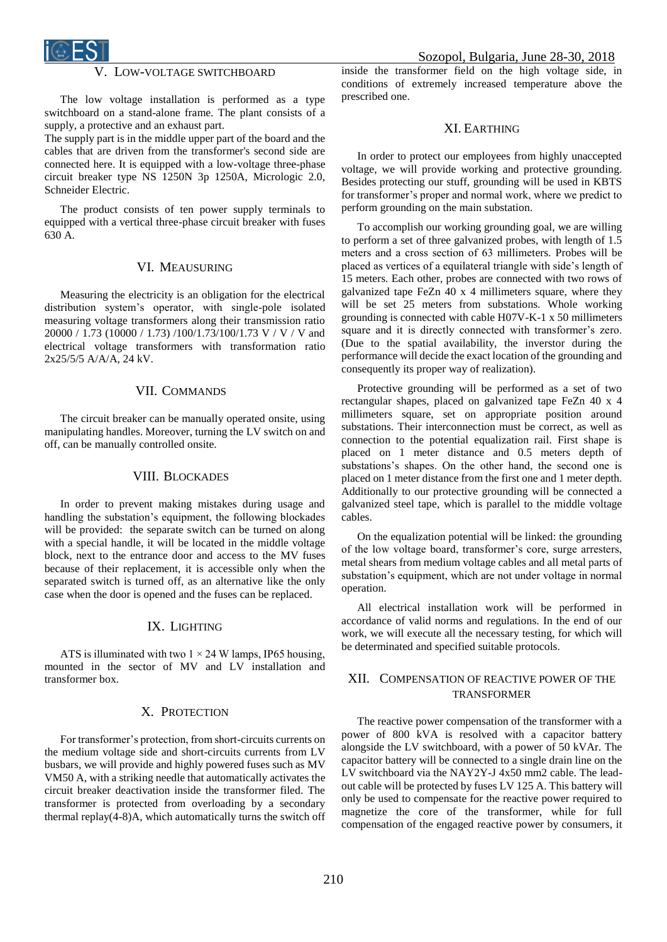

## LOW-VOLTAGE SWITCHBOARD

The low voltage installation is performed as a type switchboard on a stand-alone frame. The plant consists of a supply, a protective and an exhaust part.

The supply part is in the middle upper part of the board and the cables that are driven from the transformer's second side are connected here. It is equipped with a low-voltage three-phase circuit breaker type NS 1250N 3p 1250A, Micrologic 2.0, Schneider Electric.

The product consists of ten power supply terminals to equipped with a vertical three-phase circuit breaker with fuses 630 A.

### VI. MEAUSURING

Measuring the electricity is an obligation for the electrical distribution system's operator, with single-pole isolated measuring voltage transformers along their transmission ratio 20000 / 1.73 (10000 / 1.73) /100/1.73/100/1.73 V / V / V and electrical voltage transformers with transformation ratio 2x25/5/5 A/A/A, 24 kV.

#### VII. COMMANDS

The circuit breaker can be manually operated onsite, using manipulating handles. Moreover, turning the LV switch on and off, can be manually controlled onsite.

#### VIII. BLOCKADES

In order to prevent making mistakes during usage and handling the substation's equipment, the following blockades will be provided: the separate switch can be turned on along with a special handle, it will be located in the middle voltage block, next to the entrance door and access to the MV fuses because of their replacement, it is accessible only when the separated switch is turned off, as an alternative like the only case when the door is opened and the fuses can be replaced.

## IX. LIGHTING

ATS is illuminated with two  $1 \times 24$  W lamps, IP65 housing, mounted in the sector of MV and LV installation and transformer box.

## X. PROTECTION

For transformer's protection, from short-circuits currents on the medium voltage side and short-circuits currents from LV busbars, we will provide and highly powered fuses such as MV VM50 A, with a striking needle that automatically activates the circuit breaker deactivation inside the transformer filed. The transformer is protected from overloading by a secondary thermal replay(4-8)A, which automatically turns the switch off inside the transformer field on the high voltage side, in conditions of extremely increased temperature above the prescribed one.

## XI. EARTHING

In order to protect our employees from highly unaccepted voltage, we will provide working and protective grounding. Besides protecting our stuff, grounding will be used in KBTS for transformer's proper and normal work, where we predict to perform grounding on the main substation.

To accomplish our working grounding goal, we are willing to perform a set of three galvanized probes, with length of 1.5 mеters and a cross section of 63 millimeters. Probes will be placed as vertices of a equilateral triangle with side's length of 15 meters. Each other, probes are connected with two rows of galvanized tape FeZn 40 x 4 millimeters square, where they will be set 25 meters from substations. Whole working grounding is connected with cable H07V-K-1 x 50 millimeters square and it is directly connected with transformer's zero. (Due to the spatial availability, the inverstor during the performance will decide the exact location of the grounding and consequently its proper way of realization).

Protective grounding will be performed as a set of two rectangular shapes, placed on galvanized tape FeZn 40 x 4 millimeters square, set on appropriate position around substations. Their interconnection must be correct, as well as connection to the potential equalization rail. First shape is placed on 1 meter distance and 0.5 meters depth of substations's shapes. On the other hand, the second one is placed on 1 meter distance from the first one and 1 meter depth. Additionally to our protective grounding will be connected a galvanized steel tape, which is parallel to the middle voltage cables.

On the equalization potential will be linked: the grounding of the low voltage board, transformer's core, surge arresters, metal shears from medium voltage cables and all metal parts of substation's equipment, which are not under voltage in normal operation.

All electrical installation work will be performed in accordance of valid norms and regulations. In the end of our work, we will execute all the necessary testing, for which will be determinated and specified suitable protocols.

## XII. COMPENSATION OF REACTIVE POWER OF THE **TRANSFORMER**

The reactive power compensation of the transformer with a power of 800 kVA is resolved with a capacitor battery alongside the LV switchboard, with a power of 50 kVAr. The capacitor battery will be connected to a single drain line on the LV switchboard via the NAY2Y-J 4x50 mm2 cable. The leadout cable will be protected by fuses LV 125 A. This battery will only be used to compensate for the reactive power required to magnetize the core of the transformer, while for full compensation of the engaged reactive power by consumers, it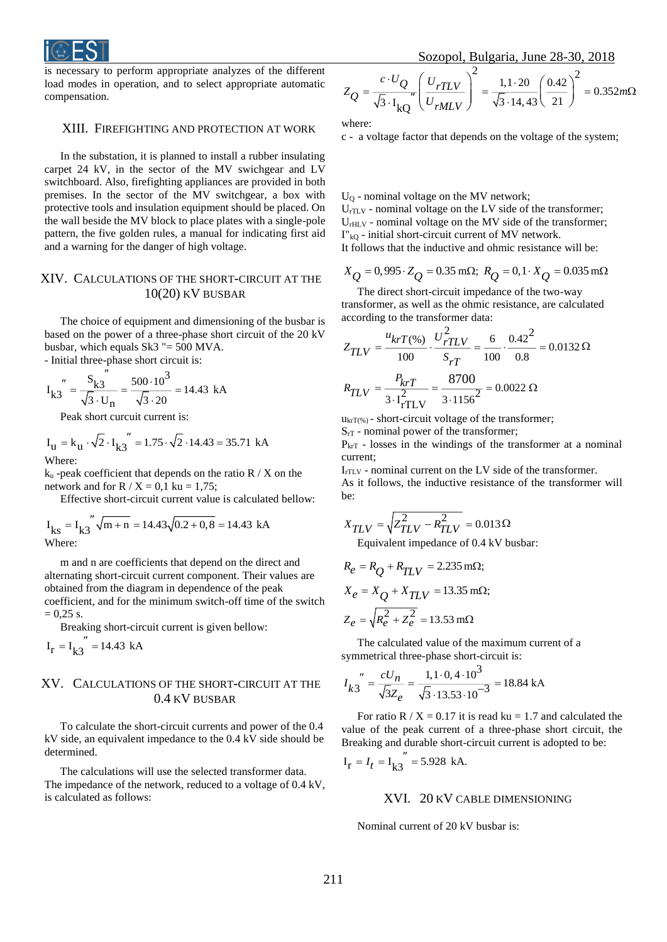

is necessary to perform appropriate analyzes of the different load modes in operation, and to select appropriate automatic compensation.

## XIII. FIREFIGHTING AND PROTECTION AT WORK

In the substation, it is planned to install a rubber insulating carpet 24 kV, in the sector of the MV swichgear and LV switchboard. Also, firefighting appliances are provided in both premises. In the sector of the MV switchgear, a box with protective tools and insulation equipment should be placed. On the wall beside the MV block to place plates with a single-pole pattern, the five golden rules, a manual for indicating first aid and a warning for the danger of high voltage.

## XIV. CALCULATIONS OF THE SHORT-CIRCUIT AT THE  $10(20)$  KV BUSBAR

The choice of equipment and dimensioning of the busbar is based on the power of a three-phase short circuit of the 20 kV busbar, which equals  $Sk3$  "= 500 MVA.

- Initial three-phase short circuit is: "

$$
I_{k3}^{"} = \frac{S_{k3}^{}}{\sqrt{3} \cdot U_{n}} = \frac{500 \cdot 10^{3}}{\sqrt{3} \cdot 20} = 14.43 \text{ kA}
$$

Peak short curcuit current is:

$$
I_{\text{u}} = k_{\text{u}} \cdot \sqrt{2} \cdot I_{\text{k3}}^{\prime\prime} = 1.75 \cdot \sqrt{2} \cdot 14.43 = 35.71 \text{ kA}
$$
  
Where:

 $k_u$ -peak coefficient that depends on the ratio R / X on the network and for  $R / X = 0.1$  ku = 1,75;

Effective short-circuit current value is calculated bellow:

$$
I_{\text{ks}} = I_{\text{k3}}'' \sqrt{m+n} = 14.43 \sqrt{0.2 + 0.8} = 14.43 \text{ kA}
$$
  
Where:

m and n are coefficients that depend on the direct and alternating short-circuit current component. Their values are obtained from the diagram in dependence of the peak coefficient, and for the minimum switch-off time of the switch  $= 0.25$  s.

Breaking short-circuit current is given bellow:

 $I_r = I_{k3}$ " = 14.43 kA

### XV. CALCULATIONS OF THE SHORT-CIRCUIT AT THE 0.4 KV BUSBAR

To calculate the short-circuit currents and power of the 0.4 kV side, an equivalent impedance to the 0.4 kV side should be determined.

The calculations will use the selected transformer data. The impedance of the network, reduced to a voltage of 0.4 kV, is calculated as follows:

$$
Z_{Q} = \frac{c \cdot U_{Q}}{\sqrt{3} \cdot I_{kQ}} \left( \frac{U_{rTLV}}{U_{rMLV}} \right)^{2} = \frac{1,1 \cdot 20}{\sqrt{3} \cdot 14,43} \left( \frac{0.42}{21} \right)^{2} = 0.352 m\Omega
$$

where:

c - a voltage factor that depends on the voltage of the system;

U<sup>Q</sup> - nominal voltage on the MV network;  $U_{\text{rTLV}}$  - nominal voltage on the LV side of the transformer;  $U<sub>rHLV</sub>$  - nominal voltage on the MV side of the transformer; I"kQ - initial short-circuit current of MV network.

It follows that the inductive and ohmic resistance will be:

$$
X_Q = 0.995 \cdot Z_Q = 0.35 \text{ m}\Omega
$$
;  $R_Q = 0.1 \cdot X_Q = 0.035 \text{ m}\Omega$ 

The direct short-circuit impedance of the two-way transformer, as well as the ohmic resistance, are calculated according to the transformer data:

$$
Z_{TLV} = \frac{u_{krT(\%)}}{100} \cdot \frac{U_{rTLV}^2}{S_{rT}} = \frac{6}{100} \cdot \frac{0.42^2}{0.8} = 0.0132 \,\Omega
$$

$$
R_{TLV} = \frac{P_{krT}}{3 \cdot I_{rTLV}^2} = \frac{8700}{3 \cdot 1156^2} = 0.0022 \,\Omega
$$

 $u_{\text{krT}(\%)}$  - short-circuit voltage of the transformer;

S<sub>rT</sub> - nominal power of the transformer;

 $P_{krT}$  - losses in the windings of the transformer at a nominal current;

 $I_{rTLV}$  - nominal current on the LV side of the transformer. As it follows, the inductive resistance of the transformer will be:

$$
X_{TLV} = \sqrt{Z_{TLV}^2 - R_{TLV}^2} = 0.013 \Omega
$$

Equivalent impedance of 0.4 kV busbar:

$$
R_e = R_Q + R_{TLV} = 2.235 \text{ m}\Omega;
$$
  
\n
$$
X_e = X_Q + X_{TLV} = 13.35 \text{ m}\Omega;
$$
  
\n
$$
Z_e = \sqrt{R_e^2 + Z_e^2} = 13.53 \text{ m}\Omega
$$

The calculated value of the maximum current of a symmetrical three-phase short-circuit is:

$$
I_{k3}^{"} = \frac{cU_n}{\sqrt{3}Z_e} = \frac{1,1 \cdot 0,4 \cdot 10^3}{\sqrt{3} \cdot 13.53 \cdot 10^{-3}} = 18.84 \text{ kA}
$$

For ratio R /  $X = 0.17$  it is read ku = 1.7 and calculated the value of the peak current of a three-phase short circuit, the Breaking and durable short-circuit current is adopted to be:

$$
I_r = I_t = I_{k3}^{\prime\prime} = 5.928
$$
 kA.

#### XVI. 20 KV CABLE DIMENSIONING

Nominal current of 20 kV busbar is: